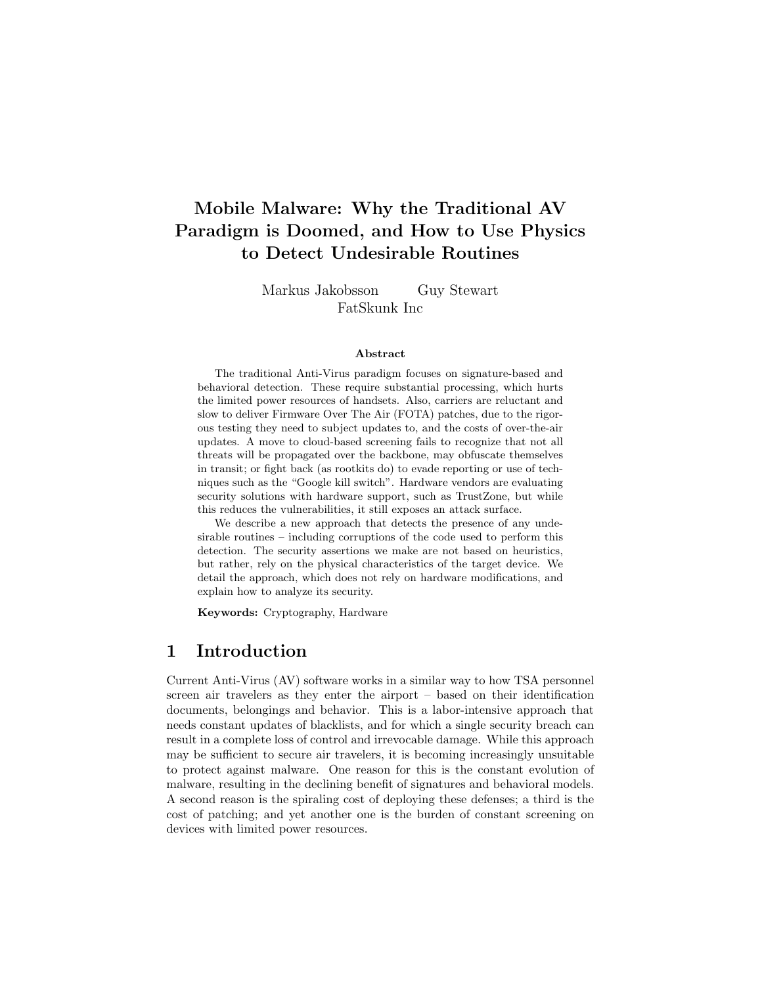# Mobile Malware: Why the Traditional AV Paradigm is Doomed, and How to Use Physics to Detect Undesirable Routines

Markus Jakobsson Guy Stewart FatSkunk Inc

#### Abstract

The traditional Anti-Virus paradigm focuses on signature-based and behavioral detection. These require substantial processing, which hurts the limited power resources of handsets. Also, carriers are reluctant and slow to deliver Firmware Over The Air (FOTA) patches, due to the rigorous testing they need to subject updates to, and the costs of over-the-air updates. A move to cloud-based screening fails to recognize that not all threats will be propagated over the backbone, may obfuscate themselves in transit; or fight back (as rootkits do) to evade reporting or use of techniques such as the "Google kill switch". Hardware vendors are evaluating security solutions with hardware support, such as TrustZone, but while this reduces the vulnerabilities, it still exposes an attack surface.

We describe a new approach that detects the presence of any undesirable routines – including corruptions of the code used to perform this detection. The security assertions we make are not based on heuristics, but rather, rely on the physical characteristics of the target device. We detail the approach, which does not rely on hardware modifications, and explain how to analyze its security.

Keywords: Cryptography, Hardware

# 1 Introduction

Current Anti-Virus (AV) software works in a similar way to how TSA personnel screen air travelers as they enter the airport – based on their identification documents, belongings and behavior. This is a labor-intensive approach that needs constant updates of blacklists, and for which a single security breach can result in a complete loss of control and irrevocable damage. While this approach may be sufficient to secure air travelers, it is becoming increasingly unsuitable to protect against malware. One reason for this is the constant evolution of malware, resulting in the declining benefit of signatures and behavioral models. A second reason is the spiraling cost of deploying these defenses; a third is the cost of patching; and yet another one is the burden of constant screening on devices with limited power resources.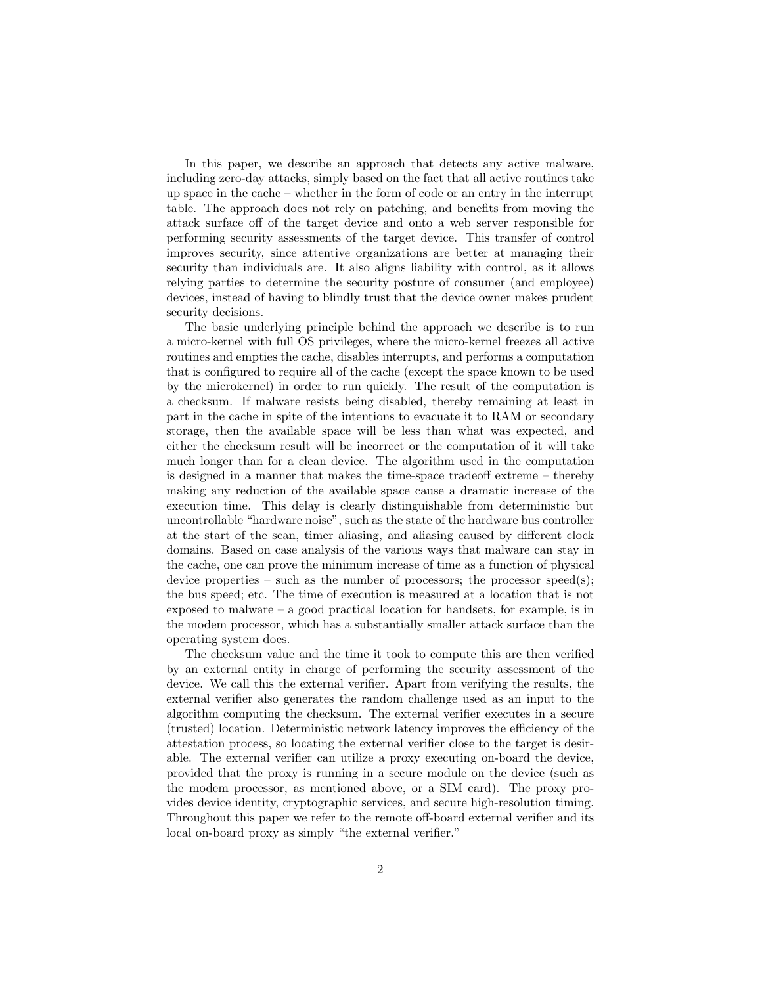In this paper, we describe an approach that detects any active malware, including zero-day attacks, simply based on the fact that all active routines take up space in the cache – whether in the form of code or an entry in the interrupt table. The approach does not rely on patching, and benefits from moving the attack surface off of the target device and onto a web server responsible for performing security assessments of the target device. This transfer of control improves security, since attentive organizations are better at managing their security than individuals are. It also aligns liability with control, as it allows relying parties to determine the security posture of consumer (and employee) devices, instead of having to blindly trust that the device owner makes prudent security decisions.

The basic underlying principle behind the approach we describe is to run a micro-kernel with full OS privileges, where the micro-kernel freezes all active routines and empties the cache, disables interrupts, and performs a computation that is configured to require all of the cache (except the space known to be used by the microkernel) in order to run quickly. The result of the computation is a checksum. If malware resists being disabled, thereby remaining at least in part in the cache in spite of the intentions to evacuate it to RAM or secondary storage, then the available space will be less than what was expected, and either the checksum result will be incorrect or the computation of it will take much longer than for a clean device. The algorithm used in the computation is designed in a manner that makes the time-space tradeoff extreme – thereby making any reduction of the available space cause a dramatic increase of the execution time. This delay is clearly distinguishable from deterministic but uncontrollable "hardware noise", such as the state of the hardware bus controller at the start of the scan, timer aliasing, and aliasing caused by different clock domains. Based on case analysis of the various ways that malware can stay in the cache, one can prove the minimum increase of time as a function of physical device properties – such as the number of processors; the processor speed(s); the bus speed; etc. The time of execution is measured at a location that is not exposed to malware  $-$  a good practical location for handsets, for example, is in the modem processor, which has a substantially smaller attack surface than the operating system does.

The checksum value and the time it took to compute this are then verified by an external entity in charge of performing the security assessment of the device. We call this the external verifier. Apart from verifying the results, the external verifier also generates the random challenge used as an input to the algorithm computing the checksum. The external verifier executes in a secure (trusted) location. Deterministic network latency improves the efficiency of the attestation process, so locating the external verifier close to the target is desirable. The external verifier can utilize a proxy executing on-board the device, provided that the proxy is running in a secure module on the device (such as the modem processor, as mentioned above, or a SIM card). The proxy provides device identity, cryptographic services, and secure high-resolution timing. Throughout this paper we refer to the remote off-board external verifier and its local on-board proxy as simply "the external verifier."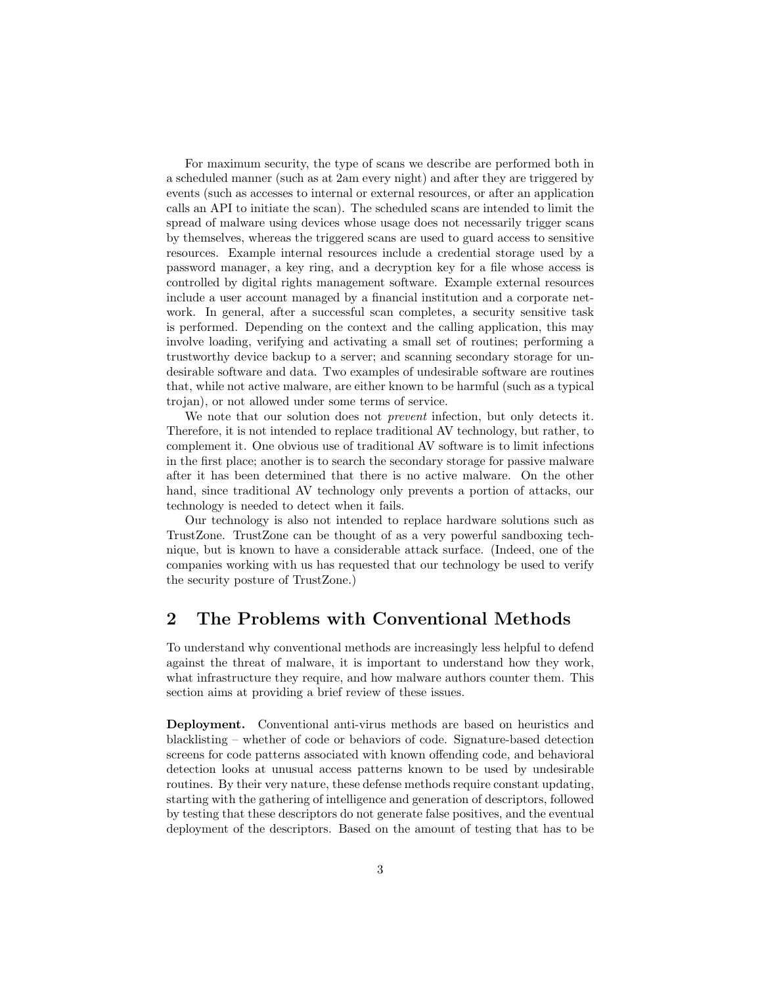For maximum security, the type of scans we describe are performed both in a scheduled manner (such as at 2am every night) and after they are triggered by events (such as accesses to internal or external resources, or after an application calls an API to initiate the scan). The scheduled scans are intended to limit the spread of malware using devices whose usage does not necessarily trigger scans by themselves, whereas the triggered scans are used to guard access to sensitive resources. Example internal resources include a credential storage used by a password manager, a key ring, and a decryption key for a file whose access is controlled by digital rights management software. Example external resources include a user account managed by a financial institution and a corporate network. In general, after a successful scan completes, a security sensitive task is performed. Depending on the context and the calling application, this may involve loading, verifying and activating a small set of routines; performing a trustworthy device backup to a server; and scanning secondary storage for undesirable software and data. Two examples of undesirable software are routines that, while not active malware, are either known to be harmful (such as a typical trojan), or not allowed under some terms of service.

We note that our solution does not *prevent* infection, but only detects it. Therefore, it is not intended to replace traditional AV technology, but rather, to complement it. One obvious use of traditional AV software is to limit infections in the first place; another is to search the secondary storage for passive malware after it has been determined that there is no active malware. On the other hand, since traditional AV technology only prevents a portion of attacks, our technology is needed to detect when it fails.

Our technology is also not intended to replace hardware solutions such as TrustZone. TrustZone can be thought of as a very powerful sandboxing technique, but is known to have a considerable attack surface. (Indeed, one of the companies working with us has requested that our technology be used to verify the security posture of TrustZone.)

# 2 The Problems with Conventional Methods

To understand why conventional methods are increasingly less helpful to defend against the threat of malware, it is important to understand how they work, what infrastructure they require, and how malware authors counter them. This section aims at providing a brief review of these issues.

Deployment. Conventional anti-virus methods are based on heuristics and blacklisting – whether of code or behaviors of code. Signature-based detection screens for code patterns associated with known offending code, and behavioral detection looks at unusual access patterns known to be used by undesirable routines. By their very nature, these defense methods require constant updating, starting with the gathering of intelligence and generation of descriptors, followed by testing that these descriptors do not generate false positives, and the eventual deployment of the descriptors. Based on the amount of testing that has to be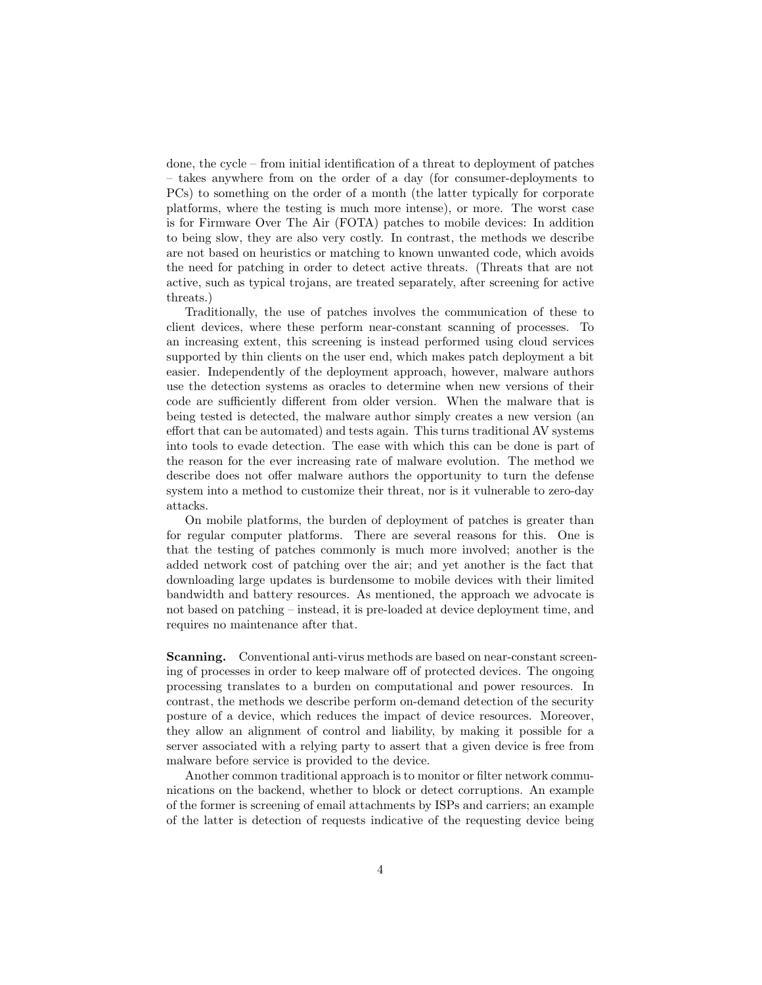done, the cycle – from initial identification of a threat to deployment of patches – takes anywhere from on the order of a day (for consumer-deployments to PCs) to something on the order of a month (the latter typically for corporate platforms, where the testing is much more intense), or more. The worst case is for Firmware Over The Air (FOTA) patches to mobile devices: In addition to being slow, they are also very costly. In contrast, the methods we describe are not based on heuristics or matching to known unwanted code, which avoids the need for patching in order to detect active threats. (Threats that are not active, such as typical trojans, are treated separately, after screening for active threats.)

Traditionally, the use of patches involves the communication of these to client devices, where these perform near-constant scanning of processes. To an increasing extent, this screening is instead performed using cloud services supported by thin clients on the user end, which makes patch deployment a bit easier. Independently of the deployment approach, however, malware authors use the detection systems as oracles to determine when new versions of their code are sufficiently different from older version. When the malware that is being tested is detected, the malware author simply creates a new version (an effort that can be automated) and tests again. This turns traditional AV systems into tools to evade detection. The ease with which this can be done is part of the reason for the ever increasing rate of malware evolution. The method we describe does not offer malware authors the opportunity to turn the defense system into a method to customize their threat, nor is it vulnerable to zero-day attacks.

On mobile platforms, the burden of deployment of patches is greater than for regular computer platforms. There are several reasons for this. One is that the testing of patches commonly is much more involved; another is the added network cost of patching over the air; and yet another is the fact that downloading large updates is burdensome to mobile devices with their limited bandwidth and battery resources. As mentioned, the approach we advocate is not based on patching – instead, it is pre-loaded at device deployment time, and requires no maintenance after that.

Scanning. Conventional anti-virus methods are based on near-constant screening of processes in order to keep malware off of protected devices. The ongoing processing translates to a burden on computational and power resources. In contrast, the methods we describe perform on-demand detection of the security posture of a device, which reduces the impact of device resources. Moreover, they allow an alignment of control and liability, by making it possible for a server associated with a relying party to assert that a given device is free from malware before service is provided to the device.

Another common traditional approach is to monitor or filter network communications on the backend, whether to block or detect corruptions. An example of the former is screening of email attachments by ISPs and carriers; an example of the latter is detection of requests indicative of the requesting device being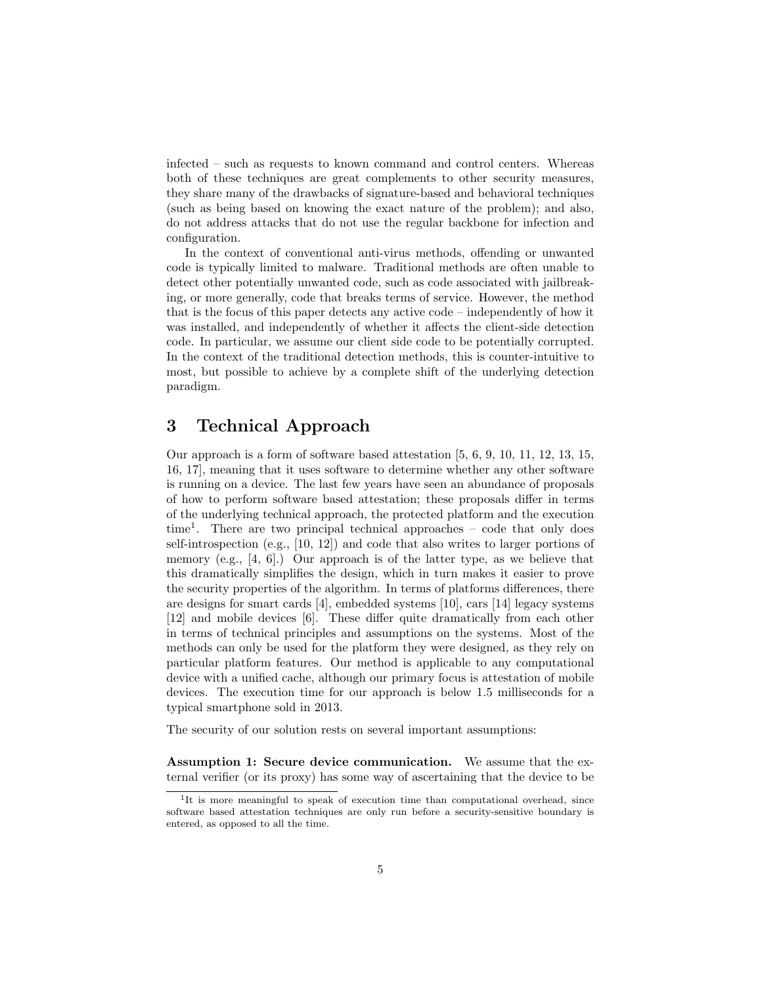infected – such as requests to known command and control centers. Whereas both of these techniques are great complements to other security measures, they share many of the drawbacks of signature-based and behavioral techniques (such as being based on knowing the exact nature of the problem); and also, do not address attacks that do not use the regular backbone for infection and configuration.

In the context of conventional anti-virus methods, offending or unwanted code is typically limited to malware. Traditional methods are often unable to detect other potentially unwanted code, such as code associated with jailbreaking, or more generally, code that breaks terms of service. However, the method that is the focus of this paper detects any active code – independently of how it was installed, and independently of whether it affects the client-side detection code. In particular, we assume our client side code to be potentially corrupted. In the context of the traditional detection methods, this is counter-intuitive to most, but possible to achieve by a complete shift of the underlying detection paradigm.

# 3 Technical Approach

Our approach is a form of software based attestation [5, 6, 9, 10, 11, 12, 13, 15, 16, 17], meaning that it uses software to determine whether any other software is running on a device. The last few years have seen an abundance of proposals of how to perform software based attestation; these proposals differ in terms of the underlying technical approach, the protected platform and the execution time<sup>1</sup>. There are two principal technical approaches – code that only does self-introspection (e.g., [10, 12]) and code that also writes to larger portions of memory (e.g., [4, 6].) Our approach is of the latter type, as we believe that this dramatically simplifies the design, which in turn makes it easier to prove the security properties of the algorithm. In terms of platforms differences, there are designs for smart cards [4], embedded systems [10], cars [14] legacy systems [12] and mobile devices [6]. These differ quite dramatically from each other in terms of technical principles and assumptions on the systems. Most of the methods can only be used for the platform they were designed, as they rely on particular platform features. Our method is applicable to any computational device with a unified cache, although our primary focus is attestation of mobile devices. The execution time for our approach is below 1.5 milliseconds for a typical smartphone sold in 2013.

The security of our solution rests on several important assumptions:

Assumption 1: Secure device communication. We assume that the external verifier (or its proxy) has some way of ascertaining that the device to be

<sup>&</sup>lt;sup>1</sup>It is more meaningful to speak of execution time than computational overhead, since software based attestation techniques are only run before a security-sensitive boundary is entered, as opposed to all the time.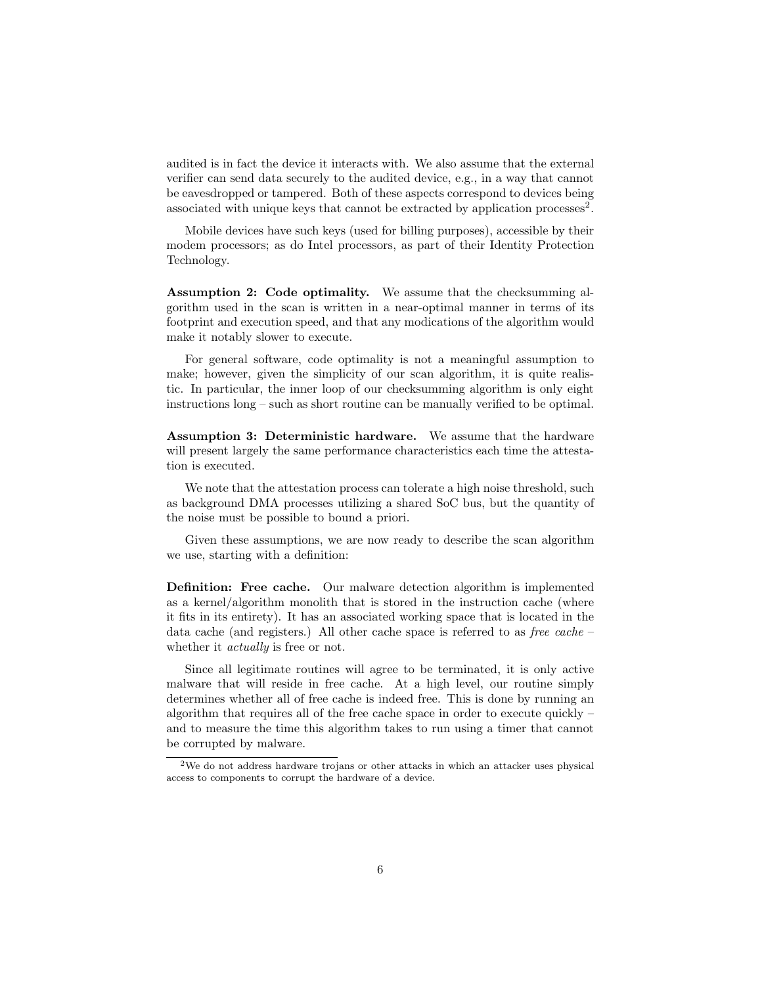audited is in fact the device it interacts with. We also assume that the external verifier can send data securely to the audited device, e.g., in a way that cannot be eavesdropped or tampered. Both of these aspects correspond to devices being associated with unique keys that cannot be extracted by application processes<sup>2</sup>.

Mobile devices have such keys (used for billing purposes), accessible by their modem processors; as do Intel processors, as part of their Identity Protection Technology.

Assumption 2: Code optimality. We assume that the checksumming algorithm used in the scan is written in a near-optimal manner in terms of its footprint and execution speed, and that any modications of the algorithm would make it notably slower to execute.

For general software, code optimality is not a meaningful assumption to make; however, given the simplicity of our scan algorithm, it is quite realistic. In particular, the inner loop of our checksumming algorithm is only eight instructions long – such as short routine can be manually verified to be optimal.

Assumption 3: Deterministic hardware. We assume that the hardware will present largely the same performance characteristics each time the attestation is executed.

We note that the attestation process can tolerate a high noise threshold, such as background DMA processes utilizing a shared SoC bus, but the quantity of the noise must be possible to bound a priori.

Given these assumptions, we are now ready to describe the scan algorithm we use, starting with a definition:

Definition: Free cache. Our malware detection algorithm is implemented as a kernel/algorithm monolith that is stored in the instruction cache (where it fits in its entirety). It has an associated working space that is located in the data cache (and registers.) All other cache space is referred to as *free cache –* whether it *actually* is free or not.

Since all legitimate routines will agree to be terminated, it is only active malware that will reside in free cache. At a high level, our routine simply determines whether all of free cache is indeed free. This is done by running an algorithm that requires all of the free cache space in order to execute quickly – and to measure the time this algorithm takes to run using a timer that cannot be corrupted by malware.

<sup>2</sup>We do not address hardware trojans or other attacks in which an attacker uses physical access to components to corrupt the hardware of a device.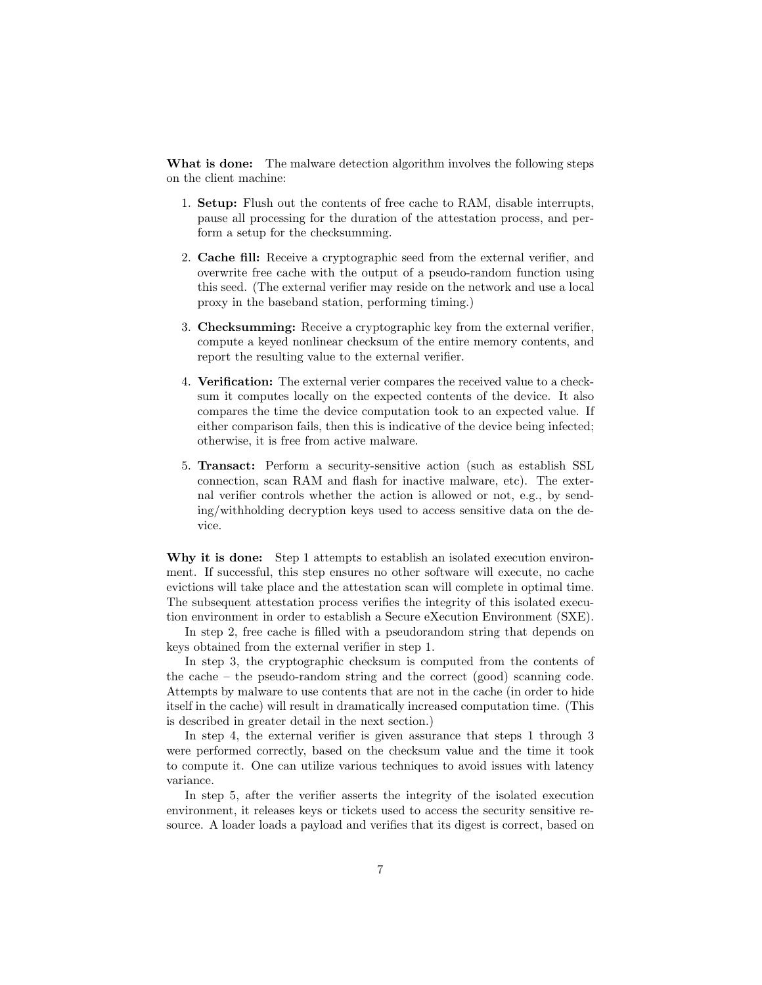What is done: The malware detection algorithm involves the following steps on the client machine:

- 1. Setup: Flush out the contents of free cache to RAM, disable interrupts, pause all processing for the duration of the attestation process, and perform a setup for the checksumming.
- 2. Cache fill: Receive a cryptographic seed from the external verifier, and overwrite free cache with the output of a pseudo-random function using this seed. (The external verifier may reside on the network and use a local proxy in the baseband station, performing timing.)
- 3. Checksumming: Receive a cryptographic key from the external verifier, compute a keyed nonlinear checksum of the entire memory contents, and report the resulting value to the external verifier.
- 4. Verification: The external verier compares the received value to a checksum it computes locally on the expected contents of the device. It also compares the time the device computation took to an expected value. If either comparison fails, then this is indicative of the device being infected; otherwise, it is free from active malware.
- 5. Transact: Perform a security-sensitive action (such as establish SSL connection, scan RAM and flash for inactive malware, etc). The external verifier controls whether the action is allowed or not, e.g., by sending/withholding decryption keys used to access sensitive data on the device.

Why it is done: Step 1 attempts to establish an isolated execution environment. If successful, this step ensures no other software will execute, no cache evictions will take place and the attestation scan will complete in optimal time. The subsequent attestation process verifies the integrity of this isolated execution environment in order to establish a Secure eXecution Environment (SXE).

In step 2, free cache is filled with a pseudorandom string that depends on keys obtained from the external verifier in step 1.

In step 3, the cryptographic checksum is computed from the contents of the cache – the pseudo-random string and the correct (good) scanning code. Attempts by malware to use contents that are not in the cache (in order to hide itself in the cache) will result in dramatically increased computation time. (This is described in greater detail in the next section.)

In step 4, the external verifier is given assurance that steps 1 through 3 were performed correctly, based on the checksum value and the time it took to compute it. One can utilize various techniques to avoid issues with latency variance.

In step 5, after the verifier asserts the integrity of the isolated execution environment, it releases keys or tickets used to access the security sensitive resource. A loader loads a payload and verifies that its digest is correct, based on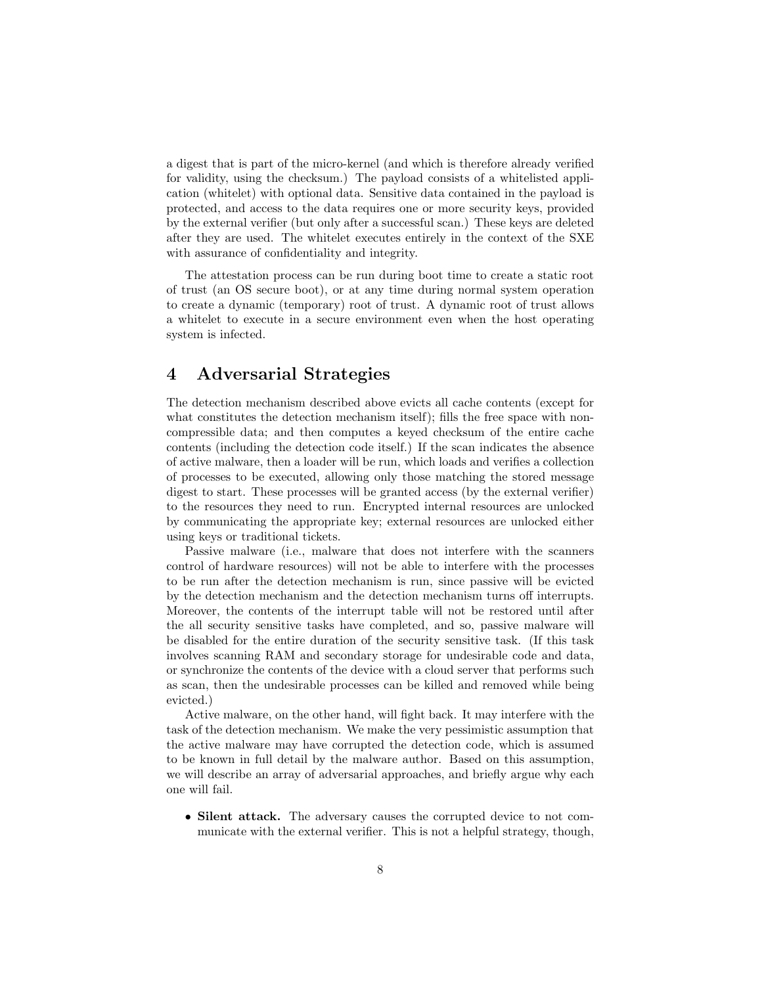a digest that is part of the micro-kernel (and which is therefore already verified for validity, using the checksum.) The payload consists of a whitelisted application (whitelet) with optional data. Sensitive data contained in the payload is protected, and access to the data requires one or more security keys, provided by the external verifier (but only after a successful scan.) These keys are deleted after they are used. The whitelet executes entirely in the context of the SXE with assurance of confidentiality and integrity.

The attestation process can be run during boot time to create a static root of trust (an OS secure boot), or at any time during normal system operation to create a dynamic (temporary) root of trust. A dynamic root of trust allows a whitelet to execute in a secure environment even when the host operating system is infected.

# 4 Adversarial Strategies

The detection mechanism described above evicts all cache contents (except for what constitutes the detection mechanism itself); fills the free space with noncompressible data; and then computes a keyed checksum of the entire cache contents (including the detection code itself.) If the scan indicates the absence of active malware, then a loader will be run, which loads and verifies a collection of processes to be executed, allowing only those matching the stored message digest to start. These processes will be granted access (by the external verifier) to the resources they need to run. Encrypted internal resources are unlocked by communicating the appropriate key; external resources are unlocked either using keys or traditional tickets.

Passive malware (i.e., malware that does not interfere with the scanners control of hardware resources) will not be able to interfere with the processes to be run after the detection mechanism is run, since passive will be evicted by the detection mechanism and the detection mechanism turns off interrupts. Moreover, the contents of the interrupt table will not be restored until after the all security sensitive tasks have completed, and so, passive malware will be disabled for the entire duration of the security sensitive task. (If this task involves scanning RAM and secondary storage for undesirable code and data, or synchronize the contents of the device with a cloud server that performs such as scan, then the undesirable processes can be killed and removed while being evicted.)

Active malware, on the other hand, will fight back. It may interfere with the task of the detection mechanism. We make the very pessimistic assumption that the active malware may have corrupted the detection code, which is assumed to be known in full detail by the malware author. Based on this assumption, we will describe an array of adversarial approaches, and briefly argue why each one will fail.

• Silent attack. The adversary causes the corrupted device to not communicate with the external verifier. This is not a helpful strategy, though,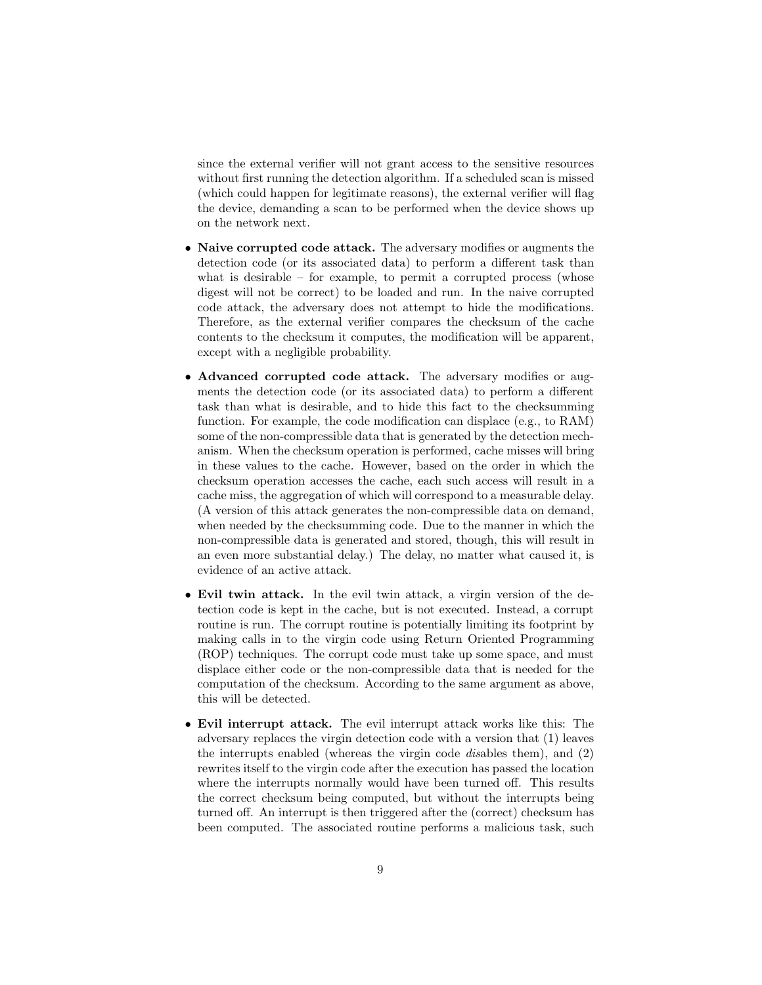since the external verifier will not grant access to the sensitive resources without first running the detection algorithm. If a scheduled scan is missed (which could happen for legitimate reasons), the external verifier will flag the device, demanding a scan to be performed when the device shows up on the network next.

- Naive corrupted code attack. The adversary modifies or augments the detection code (or its associated data) to perform a different task than what is desirable – for example, to permit a corrupted process (whose digest will not be correct) to be loaded and run. In the naive corrupted code attack, the adversary does not attempt to hide the modifications. Therefore, as the external verifier compares the checksum of the cache contents to the checksum it computes, the modification will be apparent, except with a negligible probability.
- Advanced corrupted code attack. The adversary modifies or augments the detection code (or its associated data) to perform a different task than what is desirable, and to hide this fact to the checksumming function. For example, the code modification can displace (e.g., to RAM) some of the non-compressible data that is generated by the detection mechanism. When the checksum operation is performed, cache misses will bring in these values to the cache. However, based on the order in which the checksum operation accesses the cache, each such access will result in a cache miss, the aggregation of which will correspond to a measurable delay. (A version of this attack generates the non-compressible data on demand, when needed by the checksumming code. Due to the manner in which the non-compressible data is generated and stored, though, this will result in an even more substantial delay.) The delay, no matter what caused it, is evidence of an active attack.
- Evil twin attack. In the evil twin attack, a virgin version of the detection code is kept in the cache, but is not executed. Instead, a corrupt routine is run. The corrupt routine is potentially limiting its footprint by making calls in to the virgin code using Return Oriented Programming (ROP) techniques. The corrupt code must take up some space, and must displace either code or the non-compressible data that is needed for the computation of the checksum. According to the same argument as above, this will be detected.
- Evil interrupt attack. The evil interrupt attack works like this: The adversary replaces the virgin detection code with a version that (1) leaves the interrupts enabled (whereas the virgin code disables them), and (2) rewrites itself to the virgin code after the execution has passed the location where the interrupts normally would have been turned off. This results the correct checksum being computed, but without the interrupts being turned off. An interrupt is then triggered after the (correct) checksum has been computed. The associated routine performs a malicious task, such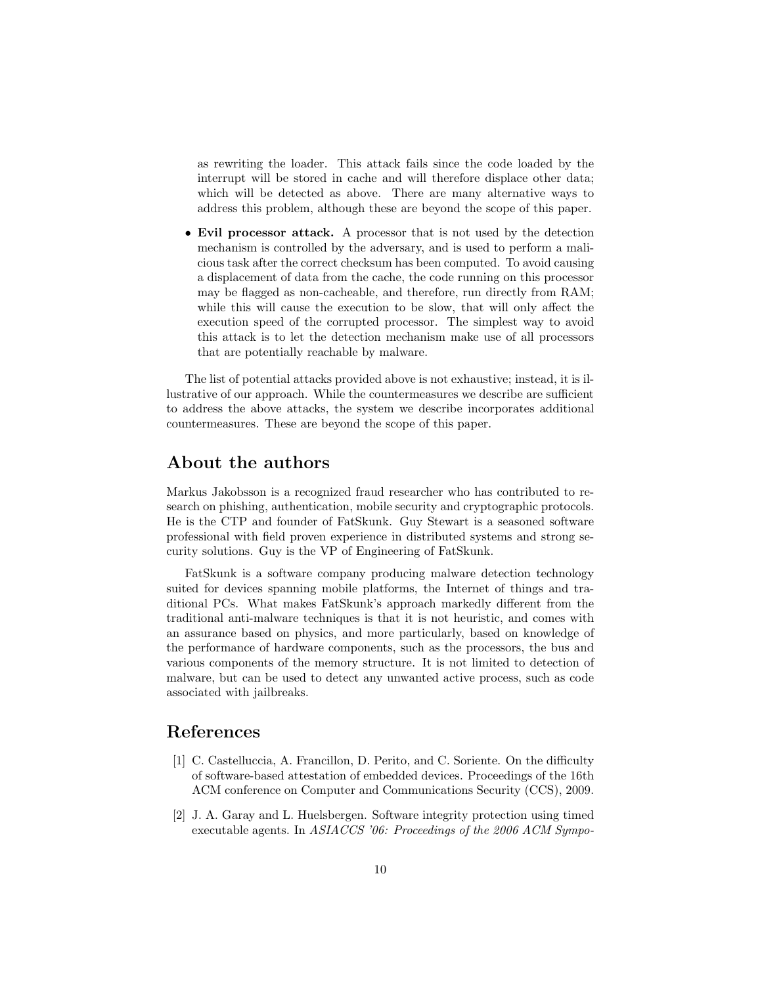as rewriting the loader. This attack fails since the code loaded by the interrupt will be stored in cache and will therefore displace other data; which will be detected as above. There are many alternative ways to address this problem, although these are beyond the scope of this paper.

• Evil processor attack. A processor that is not used by the detection mechanism is controlled by the adversary, and is used to perform a malicious task after the correct checksum has been computed. To avoid causing a displacement of data from the cache, the code running on this processor may be flagged as non-cacheable, and therefore, run directly from RAM; while this will cause the execution to be slow, that will only affect the execution speed of the corrupted processor. The simplest way to avoid this attack is to let the detection mechanism make use of all processors that are potentially reachable by malware.

The list of potential attacks provided above is not exhaustive; instead, it is illustrative of our approach. While the countermeasures we describe are sufficient to address the above attacks, the system we describe incorporates additional countermeasures. These are beyond the scope of this paper.

## About the authors

Markus Jakobsson is a recognized fraud researcher who has contributed to research on phishing, authentication, mobile security and cryptographic protocols. He is the CTP and founder of FatSkunk. Guy Stewart is a seasoned software professional with field proven experience in distributed systems and strong security solutions. Guy is the VP of Engineering of FatSkunk.

FatSkunk is a software company producing malware detection technology suited for devices spanning mobile platforms, the Internet of things and traditional PCs. What makes FatSkunk's approach markedly different from the traditional anti-malware techniques is that it is not heuristic, and comes with an assurance based on physics, and more particularly, based on knowledge of the performance of hardware components, such as the processors, the bus and various components of the memory structure. It is not limited to detection of malware, but can be used to detect any unwanted active process, such as code associated with jailbreaks.

## References

- [1] C. Castelluccia, A. Francillon, D. Perito, and C. Soriente. On the difficulty of software-based attestation of embedded devices. Proceedings of the 16th ACM conference on Computer and Communications Security (CCS), 2009.
- [2] J. A. Garay and L. Huelsbergen. Software integrity protection using timed executable agents. In ASIACCS '06: Proceedings of the 2006 ACM Sympo-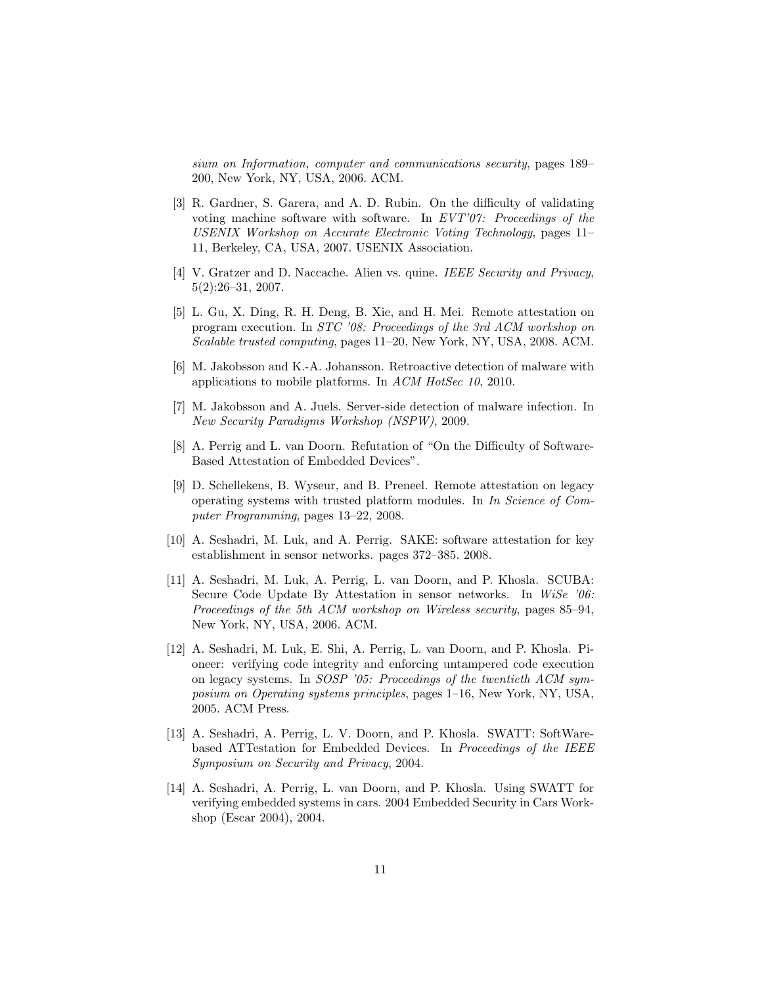sium on Information, computer and communications security, pages 189– 200, New York, NY, USA, 2006. ACM.

- [3] R. Gardner, S. Garera, and A. D. Rubin. On the difficulty of validating voting machine software with software. In EVT'07: Proceedings of the USENIX Workshop on Accurate Electronic Voting Technology, pages 11– 11, Berkeley, CA, USA, 2007. USENIX Association.
- [4] V. Gratzer and D. Naccache. Alien vs. quine. IEEE Security and Privacy, 5(2):26–31, 2007.
- [5] L. Gu, X. Ding, R. H. Deng, B. Xie, and H. Mei. Remote attestation on program execution. In STC '08: Proceedings of the 3rd ACM workshop on Scalable trusted computing, pages 11–20, New York, NY, USA, 2008. ACM.
- [6] M. Jakobsson and K.-A. Johansson. Retroactive detection of malware with applications to mobile platforms. In ACM HotSec 10, 2010.
- [7] M. Jakobsson and A. Juels. Server-side detection of malware infection. In New Security Paradigms Workshop (NSPW), 2009.
- [8] A. Perrig and L. van Doorn. Refutation of "On the Difficulty of Software-Based Attestation of Embedded Devices".
- [9] D. Schellekens, B. Wyseur, and B. Preneel. Remote attestation on legacy operating systems with trusted platform modules. In In Science of Computer Programming, pages 13–22, 2008.
- [10] A. Seshadri, M. Luk, and A. Perrig. SAKE: software attestation for key establishment in sensor networks. pages 372–385. 2008.
- [11] A. Seshadri, M. Luk, A. Perrig, L. van Doorn, and P. Khosla. SCUBA: Secure Code Update By Attestation in sensor networks. In WiSe '06: Proceedings of the 5th ACM workshop on Wireless security, pages 85–94, New York, NY, USA, 2006. ACM.
- [12] A. Seshadri, M. Luk, E. Shi, A. Perrig, L. van Doorn, and P. Khosla. Pioneer: verifying code integrity and enforcing untampered code execution on legacy systems. In SOSP '05: Proceedings of the twentieth ACM symposium on Operating systems principles, pages 1–16, New York, NY, USA, 2005. ACM Press.
- [13] A. Seshadri, A. Perrig, L. V. Doorn, and P. Khosla. SWATT: SoftWarebased ATTestation for Embedded Devices. In Proceedings of the IEEE Symposium on Security and Privacy, 2004.
- [14] A. Seshadri, A. Perrig, L. van Doorn, and P. Khosla. Using SWATT for verifying embedded systems in cars. 2004 Embedded Security in Cars Workshop (Escar 2004), 2004.